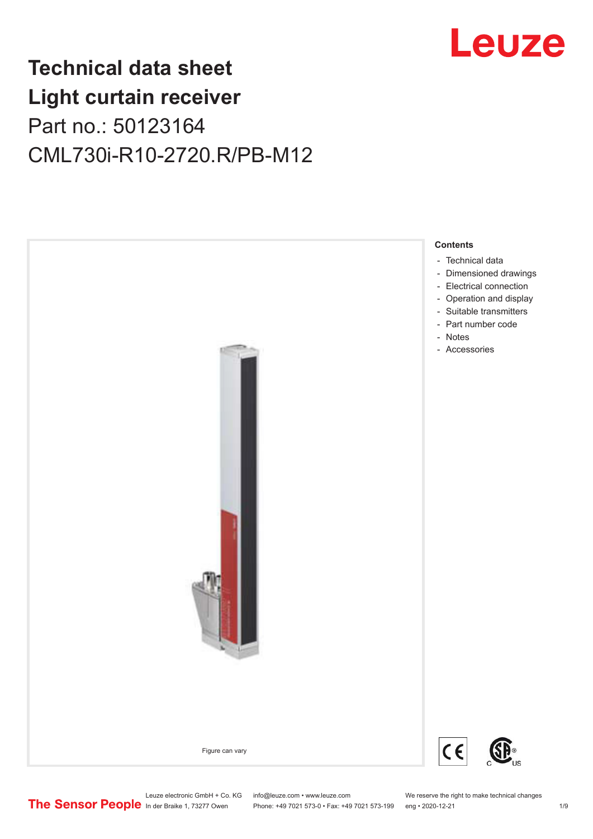

## **Technical data sheet Light curtain receiver** Part no.: 50123164 CML730i-R10-2720.R/PB-M12



Phone: +49 7021 573-0 • Fax: +49 7021 573-199 eng • 2020-12-21 1 2020-12-21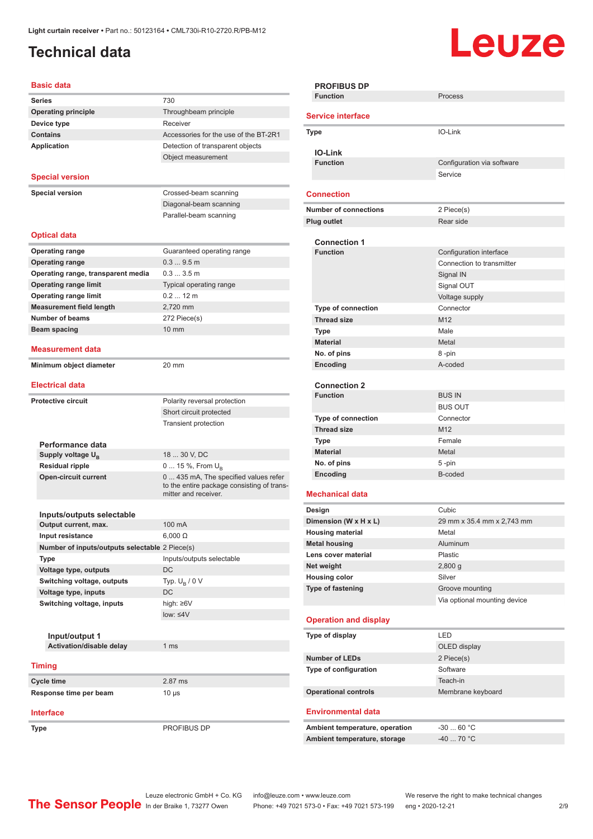## <span id="page-1-0"></span>**Technical data**

# **Leuze**

| <b>Basic data</b>                              |                                                                    |
|------------------------------------------------|--------------------------------------------------------------------|
| <b>Series</b>                                  | 730                                                                |
| <b>Operating principle</b>                     | Throughbeam principle                                              |
| Device type                                    | Receiver                                                           |
| <b>Contains</b>                                | Accessories for the use of the BT-2R1                              |
| <b>Application</b>                             | Detection of transparent objects                                   |
|                                                | Object measurement                                                 |
|                                                |                                                                    |
| <b>Special version</b>                         |                                                                    |
| <b>Special version</b>                         | Crossed-beam scanning                                              |
|                                                | Diagonal-beam scanning                                             |
|                                                | Parallel-beam scanning                                             |
|                                                |                                                                    |
| <b>Optical data</b>                            |                                                                    |
| <b>Operating range</b>                         | Guaranteed operating range                                         |
| <b>Operating range</b>                         | 0.39.5m                                                            |
| Operating range, transparent media             | 0.33.5m                                                            |
| <b>Operating range limit</b>                   | Typical operating range                                            |
| <b>Operating range limit</b>                   | $0.212$ m                                                          |
| <b>Measurement field length</b>                | 2,720 mm                                                           |
| <b>Number of beams</b>                         | 272 Piece(s)                                                       |
| Beam spacing                                   | 10 mm                                                              |
|                                                |                                                                    |
| <b>Measurement data</b>                        |                                                                    |
| Minimum object diameter                        | 20 mm                                                              |
|                                                |                                                                    |
| <b>Electrical data</b>                         |                                                                    |
| <b>Protective circuit</b>                      | Polarity reversal protection                                       |
|                                                | Short circuit protected                                            |
|                                                | <b>Transient protection</b>                                        |
|                                                |                                                                    |
| Performance data                               |                                                                    |
| Supply voltage U <sub>B</sub>                  | 18  30 V, DC                                                       |
| <b>Residual ripple</b>                         | $0 15 \%$ , From $U_{p}$                                           |
| <b>Open-circuit current</b>                    | 0  435 mA, The specified values refer                              |
|                                                | to the entire package consisting of trans-<br>mitter and receiver. |
|                                                |                                                                    |
| Inputs/outputs selectable                      |                                                                    |
| Output current, max.                           | 100 mA                                                             |
| Input resistance                               | $6,000 \Omega$                                                     |
| Number of inputs/outputs selectable 2 Piece(s) |                                                                    |
| <b>Type</b>                                    | Inputs/outputs selectable                                          |
| Voltage type, outputs                          | DC                                                                 |
| Switching voltage, outputs                     | Typ. $U_B / 0 V$                                                   |
|                                                | DC                                                                 |
| Voltage type, inputs                           |                                                                    |
| Switching voltage, inputs                      | high: ≥6V                                                          |
|                                                | $low: \leq 4V$                                                     |
|                                                |                                                                    |
| Input/output 1                                 |                                                                    |
| Activation/disable delay                       | 1 <sub>ms</sub>                                                    |
|                                                |                                                                    |
| <b>Timing</b>                                  |                                                                    |
| Cycle time                                     | 2.87 ms                                                            |
| Response time per beam                         | $10 \mu s$                                                         |

**Type** PROFIBUS DP

| Process                      |
|------------------------------|
|                              |
|                              |
| IO-Link                      |
|                              |
|                              |
| Configuration via software   |
| Service                      |
|                              |
|                              |
| 2 Piece(s)                   |
| Rear side                    |
|                              |
| Configuration interface      |
| Connection to transmitter    |
| Signal IN                    |
| Signal OUT                   |
|                              |
| Voltage supply               |
| Connector                    |
| M <sub>12</sub>              |
| Male                         |
| Metal                        |
| 8-pin                        |
| A-coded                      |
|                              |
|                              |
| <b>BUS IN</b>                |
| <b>BUS OUT</b>               |
| Connector                    |
| M <sub>12</sub>              |
| Female                       |
| Metal                        |
|                              |
| 5-pin                        |
| B-coded                      |
|                              |
| Cubic                        |
| 29 mm x 35.4 mm x 2,743 mm   |
| Metal                        |
|                              |
| Aluminum                     |
| Plastic                      |
| 2,800 g                      |
| Silver                       |
| Groove mounting              |
| Via optional mounting device |
|                              |
|                              |
| LED                          |
| OLED display                 |
|                              |
|                              |
| 2 Piece(s)                   |
| Software                     |
| Teach-in                     |
| Membrane keyboard            |
|                              |
|                              |
| $-30$ 60 °C                  |
| -40  70 °C                   |
|                              |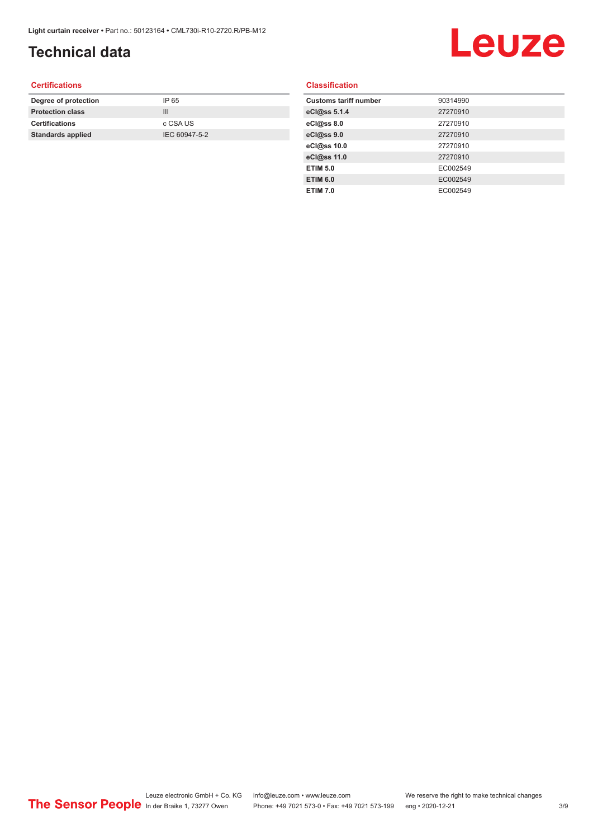## **Technical data**

# Leuze

#### **Certifications**

| Degree of protection     | IP 65         |
|--------------------------|---------------|
| <b>Protection class</b>  | Ш             |
| <b>Certifications</b>    | c CSA US      |
| <b>Standards applied</b> | IEC 60947-5-2 |
|                          |               |

#### **Classification**

| <b>Customs tariff number</b> | 90314990 |
|------------------------------|----------|
| eCl@ss 5.1.4                 | 27270910 |
| eCl@ss 8.0                   | 27270910 |
| eCl@ss 9.0                   | 27270910 |
| eCl@ss 10.0                  | 27270910 |
| eCl@ss 11.0                  | 27270910 |
| <b>ETIM 5.0</b>              | EC002549 |
| <b>ETIM 6.0</b>              | EC002549 |
| <b>ETIM 7.0</b>              | EC002549 |
|                              |          |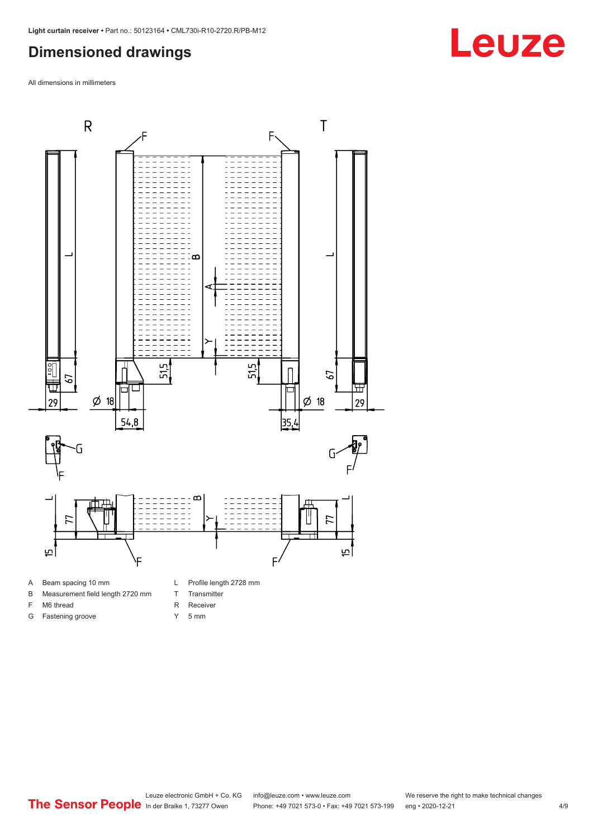#### <span id="page-3-0"></span>**Dimensioned drawings**

All dimensions in millimeters



- 
- B Measurement field length 2720 mm
- F M6 thread
- G Fastening groove
- 
- T Transmitter
- R Receiver
- Y 5 mm



**Leuze**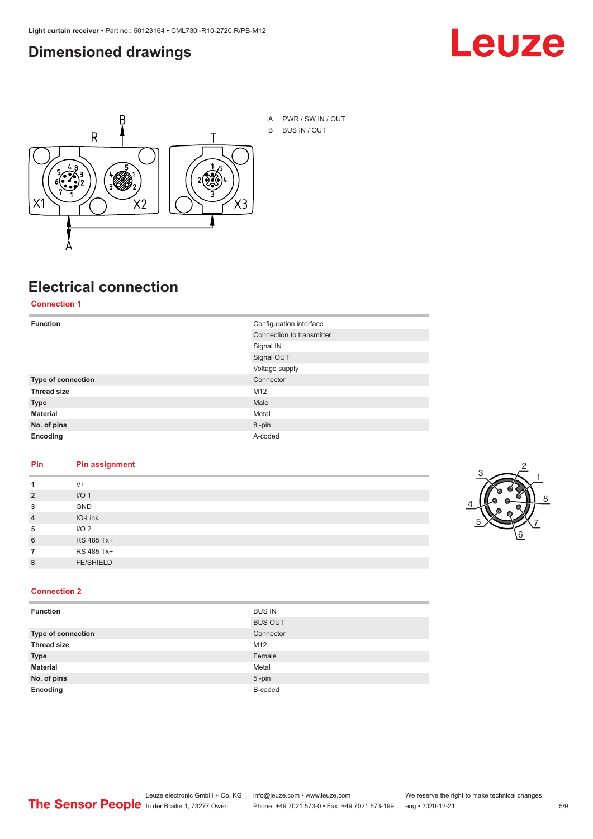#### <span id="page-4-0"></span>**Dimensioned drawings**





### **Electrical connection**

**Connection 1**

| <b>Function</b>    | Configuration interface   |  |
|--------------------|---------------------------|--|
|                    | Connection to transmitter |  |
|                    | Signal IN                 |  |
|                    | Signal OUT                |  |
|                    | Voltage supply            |  |
| Type of connection | Connector                 |  |
| <b>Thread size</b> | M12                       |  |
| <b>Type</b>        | Male                      |  |
| <b>Material</b>    | Metal                     |  |
| No. of pins        | 8-pin                     |  |
| Encoding           | A-coded                   |  |

#### **Pin Pin assignment**

| 1              | $V +$            |  |  |
|----------------|------------------|--|--|
| $\overline{2}$ | I/O <sub>1</sub> |  |  |
| 3              | <b>GND</b>       |  |  |
| $\overline{4}$ | IO-Link          |  |  |
| 5              | I/O <sub>2</sub> |  |  |
| 6              | RS 485 Tx+       |  |  |
| 7              | RS 485 Tx+       |  |  |
| 8              | <b>FE/SHIELD</b> |  |  |
|                |                  |  |  |



#### **Connection 2**

| <b>Function</b>    | <b>BUS IN</b>  |
|--------------------|----------------|
|                    | <b>BUS OUT</b> |
| Type of connection | Connector      |
| <b>Thread size</b> | M12            |
| <b>Type</b>        | Female         |
| <b>Material</b>    | Metal          |
| No. of pins        | $5$ -pin       |
| Encoding           | B-coded        |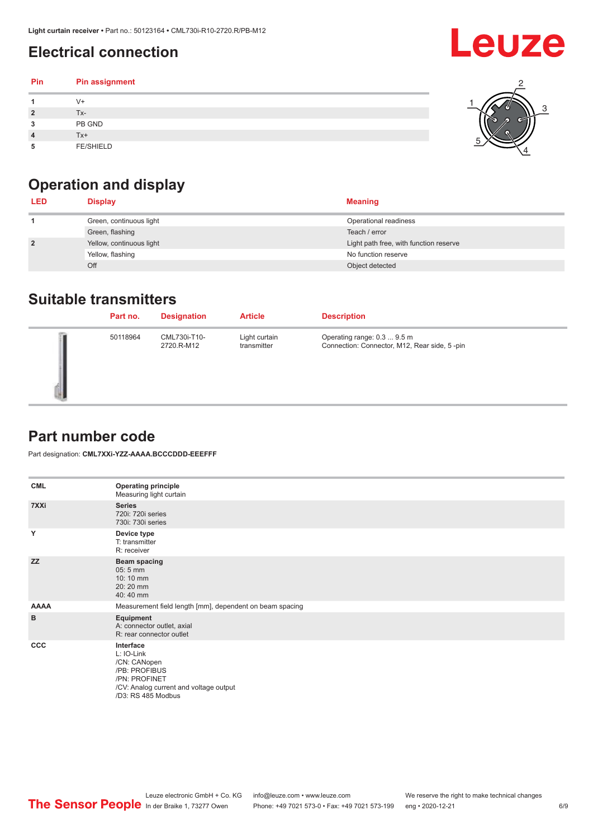## <span id="page-5-0"></span>**Electrical connection**

| Pin | Pin assignment   |  |
|-----|------------------|--|
|     | V+               |  |
| ∍   | Tx-              |  |
| 3   | PB GND           |  |
|     | Tx+              |  |
| 5   | <b>FE/SHIELD</b> |  |

## **Operation and display**

| <b>LED</b>     | <b>Display</b>           | <b>Meaning</b>                         |
|----------------|--------------------------|----------------------------------------|
|                | Green, continuous light  | Operational readiness                  |
|                | Green, flashing          | Teach / error                          |
| $\overline{2}$ | Yellow, continuous light | Light path free, with function reserve |
|                | Yellow, flashing         | No function reserve                    |
|                | Off                      | Object detected                        |

#### **Suitable transmitters**

| Part no. | <b>Designation</b>         | <b>Article</b>               | <b>Description</b>                                                          |
|----------|----------------------------|------------------------------|-----------------------------------------------------------------------------|
| 50118964 | CML730i-T10-<br>2720.R-M12 | Light curtain<br>transmitter | Operating range: 0.3  9.5 m<br>Connection: Connector, M12, Rear side, 5-pin |

### **Part number code**

Part designation: **CML7XXi-YZZ-AAAA.BCCCDDD-EEEFFF**

| <b>CML</b>  | <b>Operating principle</b><br>Measuring light curtain                                                                                     |
|-------------|-------------------------------------------------------------------------------------------------------------------------------------------|
| 7XXi        | <b>Series</b><br>720i: 720i series<br>730i: 730i series                                                                                   |
| Y           | Device type<br>T: transmitter<br>R: receiver                                                                                              |
| <b>ZZ</b>   | <b>Beam spacing</b><br>$05:5$ mm<br>10:10 mm<br>20:20 mm<br>40:40 mm                                                                      |
| <b>AAAA</b> | Measurement field length [mm], dependent on beam spacing                                                                                  |
| B           | Equipment<br>A: connector outlet, axial<br>R: rear connector outlet                                                                       |
| CCC         | Interface<br>L: IO-Link<br>/CN: CANopen<br>/PB: PROFIBUS<br>/PN: PROFINET<br>/CV: Analog current and voltage output<br>/D3: RS 485 Modbus |

**Leuze**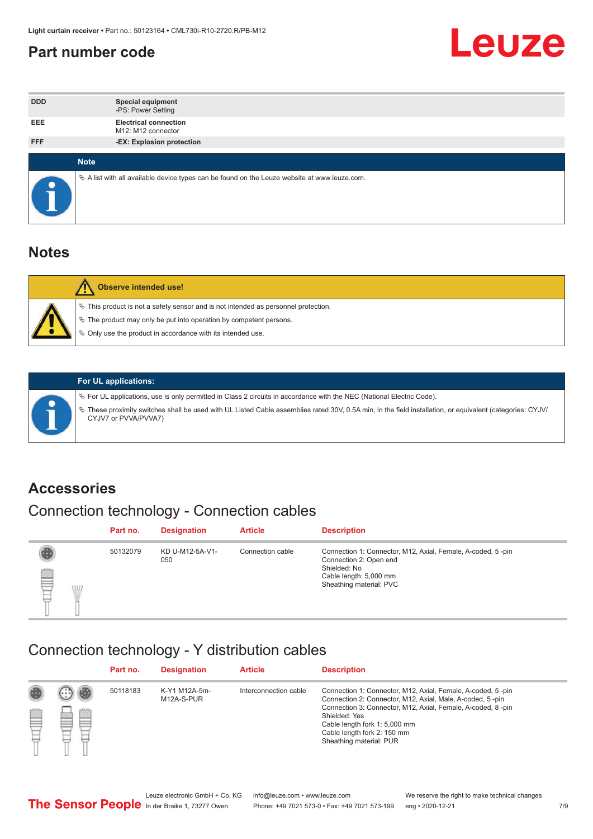#### <span id="page-6-0"></span>**Part number code**



| <b>DDD</b>  | <b>Special equipment</b><br>-PS: Power Setting                                                  |
|-------------|-------------------------------------------------------------------------------------------------|
| <b>EEE</b>  | <b>Electrical connection</b><br>M12: M12 connector                                              |
| <b>FFF</b>  | -EX: Explosion protection                                                                       |
|             |                                                                                                 |
| <b>Note</b> |                                                                                                 |
|             | $\&$ A list with all available device types can be found on the Leuze website at www.leuze.com. |

#### **Notes**

| <b>Observe intended use!</b>                                                                                                                                                                                                  |
|-------------------------------------------------------------------------------------------------------------------------------------------------------------------------------------------------------------------------------|
| $\%$ This product is not a safety sensor and is not intended as personnel protection.<br>$\%$ The product may only be put into operation by competent persons.<br>♦ Only use the product in accordance with its intended use. |



#### **For UL applications:**

ª For UL applications, use is only permitted in Class 2 circuits in accordance with the NEC (National Electric Code). ª These proximity switches shall be used with UL Listed Cable assemblies rated 30V, 0.5A min, in the field installation, or equivalent (categories: CYJV/ CYJV7 or PVVA/PVVA7)

#### **Accessories**

## Connection technology - Connection cables

|        | Part no. | <b>Designation</b>     | <b>Article</b>   | <b>Description</b>                                                                                                                                         |
|--------|----------|------------------------|------------------|------------------------------------------------------------------------------------------------------------------------------------------------------------|
| 2<br>W | 50132079 | KD U-M12-5A-V1-<br>050 | Connection cable | Connection 1: Connector, M12, Axial, Female, A-coded, 5-pin<br>Connection 2: Open end<br>Shielded: No<br>Cable length: 5,000 mm<br>Sheathing material: PVC |

#### Connection technology - Y distribution cables

|             |   | Part no. | <b>Designation</b>          | <b>Article</b>        | <b>Description</b>                                                                                                                                                                                                                                                                                  |
|-------------|---|----------|-----------------------------|-----------------------|-----------------------------------------------------------------------------------------------------------------------------------------------------------------------------------------------------------------------------------------------------------------------------------------------------|
| 圔<br>⋿<br>٣ | ø | 50118183 | K-Y1 M12A-5m-<br>M12A-S-PUR | Interconnection cable | Connection 1: Connector, M12, Axial, Female, A-coded, 5-pin<br>Connection 2: Connector, M12, Axial, Male, A-coded, 5-pin<br>Connection 3: Connector, M12, Axial, Female, A-coded, 8-pin<br>Shielded: Yes<br>Cable length fork 1: 5,000 mm<br>Cable length fork 2: 150 mm<br>Sheathing material: PUR |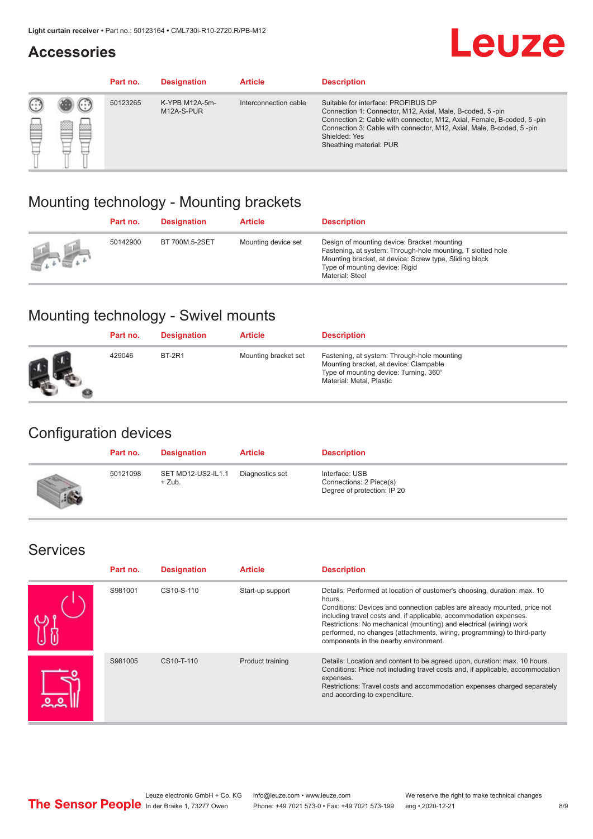#### **Accessories**

## **Leuze**

|     |         | Part no. | <b>Designation</b>           | <b>Article</b>        | <b>Description</b>                                                                                                                                                                                                                                                                             |
|-----|---------|----------|------------------------------|-----------------------|------------------------------------------------------------------------------------------------------------------------------------------------------------------------------------------------------------------------------------------------------------------------------------------------|
| 622 | ×<br>65 | 50123265 | K-YPB M12A-5m-<br>M12A-S-PUR | Interconnection cable | Suitable for interface: PROFIBUS DP<br>Connection 1: Connector, M12, Axial, Male, B-coded, 5-pin<br>Connection 2: Cable with connector, M12, Axial, Female, B-coded, 5-pin<br>Connection 3: Cable with connector, M12, Axial, Male, B-coded, 5-pin<br>Shielded: Yes<br>Sheathing material: PUR |

### Mounting technology - Mounting brackets

|               | Part no. | <b>Designation</b> | <b>Article</b>      | <b>Description</b>                                                                                                                                                                                                        |
|---------------|----------|--------------------|---------------------|---------------------------------------------------------------------------------------------------------------------------------------------------------------------------------------------------------------------------|
| $\frac{1}{2}$ | 50142900 | BT 700M.5-2SET     | Mounting device set | Design of mounting device: Bracket mounting<br>Fastening, at system: Through-hole mounting, T slotted hole<br>Mounting bracket, at device: Screw type, Sliding block<br>Type of mounting device: Rigid<br>Material: Steel |

## Mounting technology - Swivel mounts

| Part no. | <b>Designation</b> | <b>Article</b>       | <b>Description</b>                                                                                                                                          |
|----------|--------------------|----------------------|-------------------------------------------------------------------------------------------------------------------------------------------------------------|
| 429046   | <b>BT-2R1</b>      | Mounting bracket set | Fastening, at system: Through-hole mounting<br>Mounting bracket, at device: Clampable<br>Type of mounting device: Turning, 360°<br>Material: Metal, Plastic |

#### Configuration devices

| Part no. | <b>Designation</b>             | <b>Article</b>  | <b>Description</b>                                                       |
|----------|--------------------------------|-----------------|--------------------------------------------------------------------------|
| 50121098 | SET MD12-US2-IL1.1<br>$+$ Zub. | Diagnostics set | Interface: USB<br>Connections: 2 Piece(s)<br>Degree of protection: IP 20 |

#### Services

| Part no. | <b>Designation</b> | <b>Article</b>   | <b>Description</b>                                                                                                                                                                                                                                                                                                                                                                                                              |
|----------|--------------------|------------------|---------------------------------------------------------------------------------------------------------------------------------------------------------------------------------------------------------------------------------------------------------------------------------------------------------------------------------------------------------------------------------------------------------------------------------|
| S981001  | CS10-S-110         | Start-up support | Details: Performed at location of customer's choosing, duration: max. 10<br>hours.<br>Conditions: Devices and connection cables are already mounted, price not<br>including travel costs and, if applicable, accommodation expenses.<br>Restrictions: No mechanical (mounting) and electrical (wiring) work<br>performed, no changes (attachments, wiring, programming) to third-party<br>components in the nearby environment. |
| S981005  | CS10-T-110         | Product training | Details: Location and content to be agreed upon, duration: max. 10 hours.<br>Conditions: Price not including travel costs and, if applicable, accommodation<br>expenses.<br>Restrictions: Travel costs and accommodation expenses charged separately<br>and according to expenditure.                                                                                                                                           |